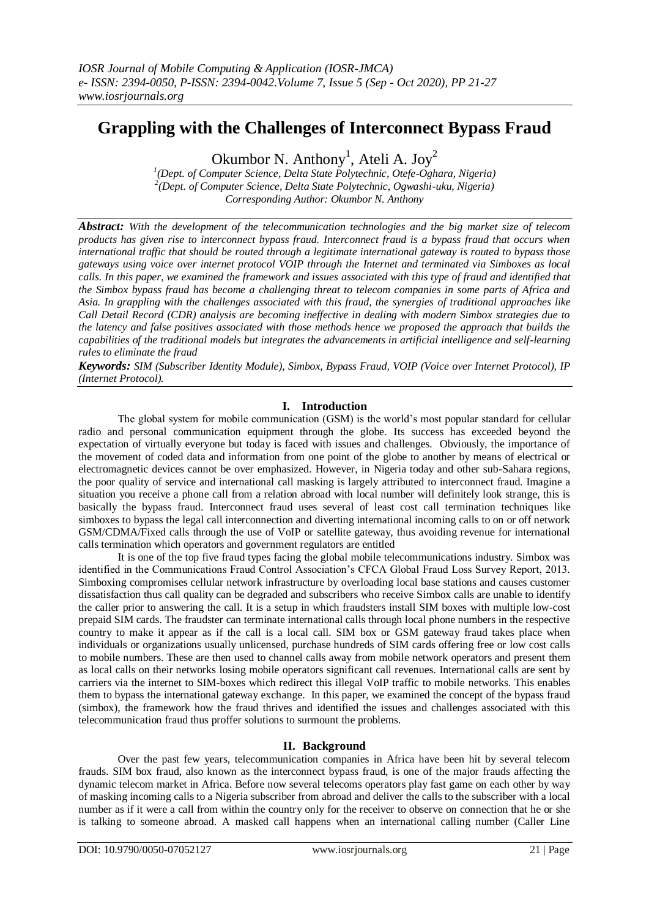# **Grappling with the Challenges of Interconnect Bypass Fraud**

Okumbor N. Anthony<sup>1</sup>, Ateli A. Joy<sup>2</sup>

*1 (Dept. of Computer Science, Delta State Polytechnic, Otefe-Oghara, Nigeria) 2 (Dept. of Computer Science, Delta State Polytechnic, Ogwashi-uku, Nigeria) Corresponding Author: Okumbor N. Anthony*

*Abstract: With the development of the telecommunication technologies and the big market size of telecom products has given rise to interconnect bypass fraud. Interconnect fraud is a bypass fraud that occurs when international traffic that should be routed through a legitimate international gateway is routed to bypass those gateways using voice over internet protocol VOIP through the Internet and terminated via Simboxes as local calls. In this paper, we examined the framework and issues associated with this type of fraud and identified that the Simbox bypass fraud has become a challenging threat to telecom companies in some parts of Africa and Asia. In grappling with the challenges associated with this fraud, the synergies of traditional approaches like Call Detail Record (CDR) analysis are becoming ineffective in dealing with modern Simbox strategies due to the latency and false positives associated with those methods hence we proposed the approach that builds the capabilities of the traditional models but integrates the advancements in artificial intelligence and self-learning rules to eliminate the fraud*

*Keywords: SIM (Subscriber Identity Module), Simbox, Bypass Fraud, VOIP (Voice over Internet Protocol), IP (Internet Protocol).*

## **I. Introduction**

The global system for mobile communication (GSM) is the world's most popular standard for cellular radio and personal communication equipment through the globe. Its success has exceeded beyond the expectation of virtually everyone but today is faced with issues and challenges. Obviously, the importance of the movement of coded data and information from one point of the globe to another by means of electrical or electromagnetic devices cannot be over emphasized. However, in Nigeria today and other sub-Sahara regions, the poor quality of service and international call masking is largely attributed to interconnect fraud. Imagine a situation you receive a phone call from a relation abroad with local number will definitely look strange, this is basically the bypass fraud. Interconnect fraud uses several of least cost call termination techniques like simboxes to bypass the legal call interconnection and diverting international incoming calls to on or off network GSM/CDMA/Fixed calls through the use of VoIP or satellite gateway, thus avoiding revenue for international calls termination which operators and government regulators are entitled

It is one of the top five fraud types facing the global mobile telecommunications industry. Simbox was identified in the Communications Fraud Control Association's CFCA Global Fraud Loss Survey Report, 2013. Simboxing compromises cellular network infrastructure by overloading local base stations and causes customer dissatisfaction thus call quality can be degraded and subscribers who receive Simbox calls are unable to identify the caller prior to answering the call. It is a setup in which fraudsters install SIM boxes with multiple low-cost prepaid SIM cards. The fraudster can terminate international calls through local phone numbers in the respective country to make it appear as if the call is a local call. SIM box or GSM gateway fraud takes place when individuals or organizations usually unlicensed, purchase hundreds of SIM cards offering free or low cost calls to mobile numbers. These are then used to channel calls away from mobile network operators and present them as local calls on their networks losing mobile operators significant call revenues. International calls are sent by carriers via the internet to SIM-boxes which redirect this illegal VoIP traffic to mobile networks. This enables them to bypass the international gateway exchange. In this paper, we examined the concept of the bypass fraud (simbox), the framework how the fraud thrives and identified the issues and challenges associated with this telecommunication fraud thus proffer solutions to surmount the problems.

## **II. Background**

Over the past few years, telecommunication companies in Africa have been hit by several telecom frauds. SIM box fraud, also known as the interconnect bypass fraud, is one of the major frauds affecting the dynamic telecom market in Africa. Before now several telecoms operators play fast game on each other by way of masking incoming calls to a Nigeria subscriber from abroad and deliver the calls to the subscriber with a local number as if it were a call from within the country only for the receiver to observe on connection that he or she is talking to someone abroad. A masked call happens when an international calling number (Caller Line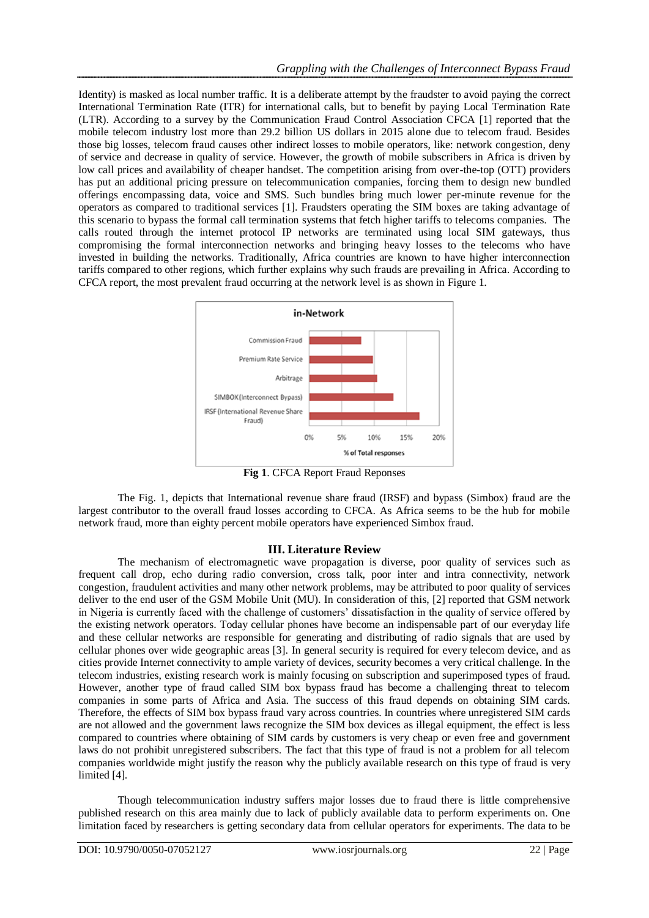Identity) is masked as local number traffic. It is a deliberate attempt by the fraudster to avoid paying the correct International Termination Rate (ITR) for international calls, but to benefit by paying Local Termination Rate (LTR). According to a survey by the Communication Fraud Control Association CFCA [1] reported that the mobile telecom industry lost more than 29.2 billion US dollars in 2015 alone due to telecom fraud. Besides those big losses, telecom fraud causes other indirect losses to mobile operators, like: network congestion, deny of service and decrease in quality of service. However, the growth of mobile subscribers in Africa is driven by low call prices and availability of cheaper handset. The competition arising from over-the-top (OTT) providers has put an additional pricing pressure on telecommunication companies, forcing them to design new bundled offerings encompassing data, voice and SMS. Such bundles bring much lower per-minute revenue for the operators as compared to traditional services [1]. Fraudsters operating the SIM boxes are taking advantage of this scenario to bypass the formal call termination systems that fetch higher tariffs to telecoms companies. The calls routed through the internet protocol IP networks are terminated using local SIM gateways, thus compromising the formal interconnection networks and bringing heavy losses to the telecoms who have invested in building the networks. Traditionally, Africa countries are known to have higher interconnection tariffs compared to other regions, which further explains why such frauds are prevailing in Africa. According to CFCA report, the most prevalent fraud occurring at the network level is as shown in Figure 1.



**Fig 1**. CFCA Report Fraud Reponses

The Fig. 1, depicts that International revenue share fraud (IRSF) and bypass (Simbox) fraud are the largest contributor to the overall fraud losses according to CFCA. As Africa seems to be the hub for mobile network fraud, more than eighty percent mobile operators have experienced Simbox fraud.

## **III. Literature Review**

The mechanism of electromagnetic wave propagation is diverse, poor quality of services such as frequent call drop, echo during radio conversion, cross talk, poor inter and intra connectivity, network congestion, fraudulent activities and many other network problems, may be attributed to poor quality of services deliver to the end user of the GSM Mobile Unit (MU). In consideration of this, [2] reported that GSM network in Nigeria is currently faced with the challenge of customers' dissatisfaction in the quality of service offered by the existing network operators. Today cellular phones have become an indispensable part of our everyday life and these cellular networks are responsible for generating and distributing of radio signals that are used by cellular phones over wide geographic areas [3]. In general security is required for every telecom device, and as cities provide Internet connectivity to ample variety of devices, security becomes a very critical challenge. In the telecom industries, existing research work is mainly focusing on subscription and superimposed types of fraud. However, another type of fraud called SIM box bypass fraud has become a challenging threat to telecom companies in some parts of Africa and Asia. The success of this fraud depends on obtaining SIM cards. Therefore, the effects of SIM box bypass fraud vary across countries. In countries where unregistered SIM cards are not allowed and the government laws recognize the SIM box devices as illegal equipment, the effect is less compared to countries where obtaining of SIM cards by customers is very cheap or even free and government laws do not prohibit unregistered subscribers. The fact that this type of fraud is not a problem for all telecom companies worldwide might justify the reason why the publicly available research on this type of fraud is very limited [4].

Though telecommunication industry suffers major losses due to fraud there is little comprehensive published research on this area mainly due to lack of publicly available data to perform experiments on. One limitation faced by researchers is getting secondary data from cellular operators for experiments. The data to be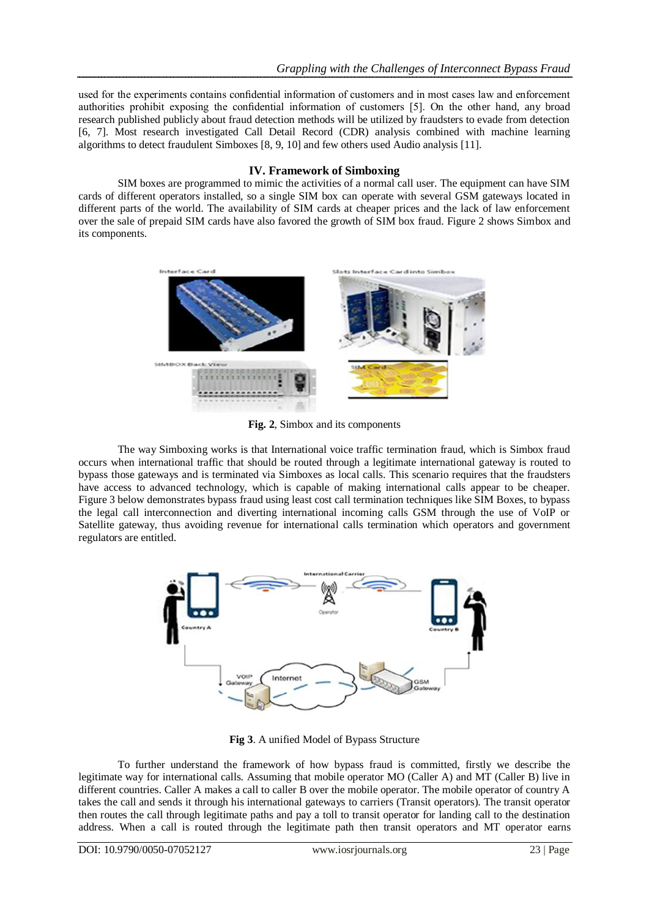used for the experiments contains confidential information of customers and in most cases law and enforcement authorities prohibit exposing the confidential information of customers [5]. On the other hand, any broad research published publicly about fraud detection methods will be utilized by fraudsters to evade from detection [6, 7]. Most research investigated Call Detail Record (CDR) analysis combined with machine learning algorithms to detect fraudulent Simboxes [8, 9, 10] and few others used Audio analysis [11].

## **IV. Framework of Simboxing**

SIM boxes are programmed to mimic the activities of a normal call user. The equipment can have SIM cards of different operators installed, so a single SIM box can operate with several GSM gateways located in different parts of the world. The availability of SIM cards at cheaper prices and the lack of law enforcement over the sale of prepaid SIM cards have also favored the growth of SIM box fraud. Figure 2 shows Simbox and its components.



**Fig. 2**, Simbox and its components

The way Simboxing works is that International voice traffic termination fraud, which is Simbox fraud occurs when international traffic that should be routed through a legitimate international gateway is routed to bypass those gateways and is terminated via Simboxes as local calls. This scenario requires that the fraudsters have access to advanced technology, which is capable of making international calls appear to be cheaper. Figure 3 below demonstrates bypass fraud using least cost call termination techniques like SIM Boxes, to bypass the legal call interconnection and diverting international incoming calls GSM through the use of VoIP or Satellite gateway, thus avoiding revenue for international calls termination which operators and government regulators are entitled.



**Fig 3**. A unified Model of Bypass Structure

To further understand the framework of how bypass fraud is committed, firstly we describe the legitimate way for international calls. Assuming that mobile operator MO (Caller A) and MT (Caller B) live in different countries. Caller A makes a call to caller B over the mobile operator. The mobile operator of country A takes the call and sends it through his international gateways to carriers (Transit operators). The transit operator then routes the call through legitimate paths and pay a toll to transit operator for landing call to the destination address. When a call is routed through the legitimate path then transit operators and MT operator earns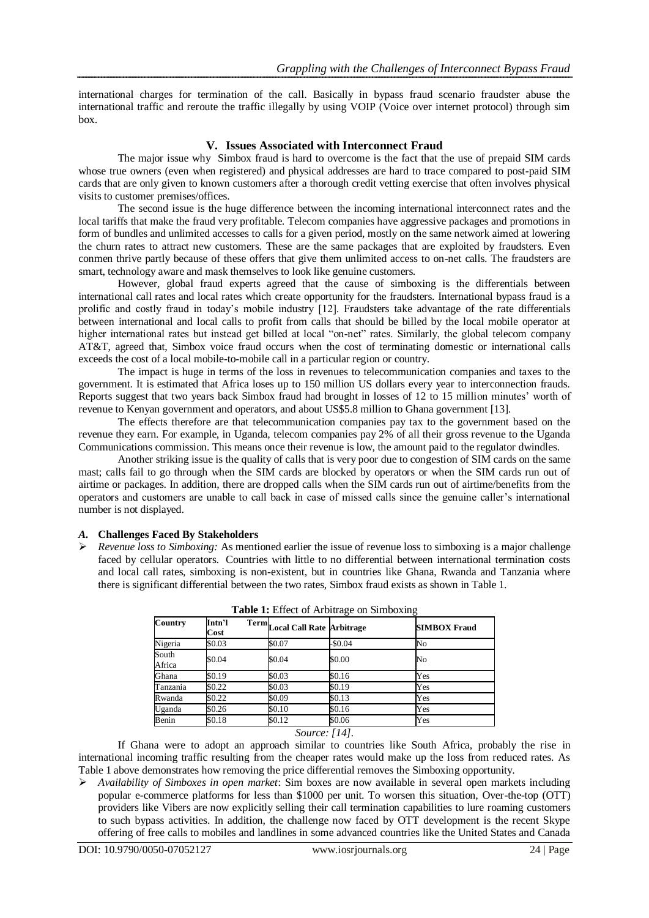international charges for termination of the call. Basically in bypass fraud scenario fraudster abuse the international traffic and reroute the traffic illegally by using VOIP (Voice over internet protocol) through sim box.

## **V. Issues Associated with Interconnect Fraud**

The major issue why Simbox fraud is hard to overcome is the fact that the use of prepaid SIM cards whose true owners (even when registered) and physical addresses are hard to trace compared to post-paid SIM cards that are only given to known customers after a thorough credit vetting exercise that often involves physical visits to customer premises/offices.

The second issue is the huge difference between the incoming international interconnect rates and the local tariffs that make the fraud very profitable. Telecom companies have aggressive packages and promotions in form of bundles and unlimited accesses to calls for a given period, mostly on the same network aimed at lowering the churn rates to attract new customers. These are the same packages that are exploited by fraudsters. Even conmen thrive partly because of these offers that give them unlimited access to on-net calls. The fraudsters are smart, technology aware and mask themselves to look like genuine customers.

However, global fraud experts agreed that the cause of simboxing is the differentials between international call rates and local rates which create opportunity for the fraudsters. International bypass fraud is a prolific and costly fraud in today's mobile industry [12]. Fraudsters take advantage of the rate differentials between international and local calls to profit from calls that should be billed by the local mobile operator at higher international rates but instead get billed at local "on-net" rates. Similarly, the global telecom company AT&T, agreed that, Simbox voice fraud occurs when the cost of terminating domestic or international calls exceeds the cost of a local mobile-to-mobile call in a particular region or country.

The impact is huge in terms of the loss in revenues to telecommunication companies and taxes to the government. It is estimated that Africa loses up to 150 million US dollars every year to interconnection frauds. Reports suggest that two years back Simbox fraud had brought in losses of 12 to 15 million minutes' worth of revenue to Kenyan government and operators, and about US\$5.8 million to Ghana government [13].

The effects therefore are that telecommunication companies pay tax to the government based on the revenue they earn. For example, in Uganda, telecom companies pay 2% of all their gross revenue to the Uganda Communications commission. This means once their revenue is low, the amount paid to the regulator dwindles.

Another striking issue is the quality of calls that is very poor due to congestion of SIM cards on the same mast; calls fail to go through when the SIM cards are blocked by operators or when the SIM cards run out of airtime or packages. In addition, there are dropped calls when the SIM cards run out of airtime/benefits from the operators and customers are unable to call back in case of missed calls since the genuine caller's international number is not displayed.

*A.* **Challenges Faced By Stakeholders**

 *Revenue loss to Simboxing:* As mentioned earlier the issue of revenue loss to simboxing is a major challenge faced by cellular operators. Countries with little to no differential between international termination costs and local call rates, simboxing is non-existent, but in countries like Ghana, Rwanda and Tanzania where there is significant differential between the two rates, Simbox fraud exists as shown in Table 1.

| Intn'l<br>Cost |        |          | <b>SIMBOX Fraud</b>                                                               |
|----------------|--------|----------|-----------------------------------------------------------------------------------|
| \$0.03         | \$0.07 | $-$0.04$ | No                                                                                |
| \$0.04         | \$0.04 | \$0.00   | No                                                                                |
| \$0.19         | \$0.03 |          | Yes                                                                               |
| \$0.22         | \$0.03 |          | Yes                                                                               |
| \$0.22         | \$0.09 | \$0.13   | Yes                                                                               |
| \$0.26         | \$0.10 |          | Yes                                                                               |
| \$0.18         | \$0.12 |          | Yes                                                                               |
|                |        |          | Term <sub>Local</sub> Call Rate Arbitrage<br>\$0.16<br>\$0.19<br>\$0.16<br>\$0.06 |

**Table 1:** Effect of Arbitrage on Simboxing

*Source: [14].*

If Ghana were to adopt an approach similar to countries like South Africa, probably the rise in international incoming traffic resulting from the cheaper rates would make up the loss from reduced rates. As Table 1 above demonstrates how removing the price differential removes the Simboxing opportunity.

 *Availability of Simboxes in open market*: Sim boxes are now available in several open markets including popular e-commerce platforms for less than \$1000 per unit. To worsen this situation, Over-the-top (OTT) providers like Vibers are now explicitly selling their call termination capabilities to lure roaming customers to such bypass activities. In addition, the challenge now faced by OTT development is the recent Skype offering of free calls to mobiles and landlines in some advanced countries like the United States and Canada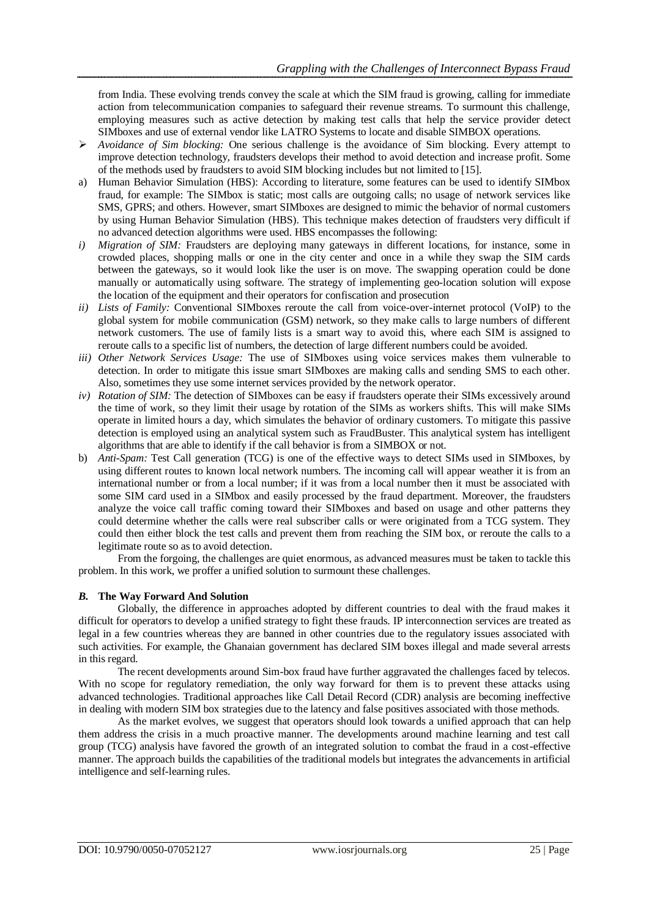from India. These evolving trends convey the scale at which the SIM fraud is growing, calling for immediate action from telecommunication companies to safeguard their revenue streams. To surmount this challenge, employing measures such as active detection by making test calls that help the service provider detect SIMboxes and use of external vendor like LATRO Systems to locate and disable SIMBOX operations.

- *Avoidance of Sim blocking:* One serious challenge is the avoidance of Sim blocking. Every attempt to improve detection technology, fraudsters develops their method to avoid detection and increase profit. Some of the methods used by fraudsters to avoid SIM blocking includes but not limited to [15].
- a) Human Behavior Simulation (HBS): According to literature, some features can be used to identify SIMbox fraud, for example: The SIMbox is static; most calls are outgoing calls; no usage of network services like SMS, GPRS; and others. However, smart SIMboxes are designed to mimic the behavior of normal customers by using Human Behavior Simulation (HBS). This technique makes detection of fraudsters very difficult if no advanced detection algorithms were used. HBS encompasses the following:
- *i) Migration of SIM:* Fraudsters are deploying many gateways in different locations, for instance, some in crowded places, shopping malls or one in the city center and once in a while they swap the SIM cards between the gateways, so it would look like the user is on move. The swapping operation could be done manually or automatically using software. The strategy of implementing geo-location solution will expose the location of the equipment and their operators for confiscation and prosecution
- *ii) Lists of Family:* Conventional SIMboxes reroute the call from voice-over-internet protocol (VoIP) to the global system for mobile communication (GSM) network, so they make calls to large numbers of different network customers. The use of family lists is a smart way to avoid this, where each SIM is assigned to reroute calls to a specific list of numbers, the detection of large different numbers could be avoided.
- *iii) Other Network Services Usage:* The use of SIMboxes using voice services makes them vulnerable to detection. In order to mitigate this issue smart SIMboxes are making calls and sending SMS to each other. Also, sometimes they use some internet services provided by the network operator.
- *iv) Rotation of SIM:* The detection of SIMboxes can be easy if fraudsters operate their SIMs excessively around the time of work, so they limit their usage by rotation of the SIMs as workers shifts. This will make SIMs operate in limited hours a day, which simulates the behavior of ordinary customers. To mitigate this passive detection is employed using an analytical system such as FraudBuster. This analytical system has intelligent algorithms that are able to identify if the call behavior is from a SIMBOX or not.
- b) *Anti-Spam:* Test Call generation (TCG) is one of the effective ways to detect SIMs used in SIMboxes, by using different routes to known local network numbers. The incoming call will appear weather it is from an international number or from a local number; if it was from a local number then it must be associated with some SIM card used in a SIMbox and easily processed by the fraud department. Moreover, the fraudsters analyze the voice call traffic coming toward their SIMboxes and based on usage and other patterns they could determine whether the calls were real subscriber calls or were originated from a TCG system. They could then either block the test calls and prevent them from reaching the SIM box, or reroute the calls to a legitimate route so as to avoid detection.

From the forgoing, the challenges are quiet enormous, as advanced measures must be taken to tackle this problem. In this work, we proffer a unified solution to surmount these challenges.

## *B.* **The Way Forward And Solution**

Globally, the difference in approaches adopted by different countries to deal with the fraud makes it difficult for operators to develop a unified strategy to fight these frauds. IP interconnection services are treated as legal in a few countries whereas they are banned in other countries due to the regulatory issues associated with such activities. For example, the Ghanaian government has declared SIM boxes illegal and made several arrests in this regard.

The recent developments around Sim-box fraud have further aggravated the challenges faced by telecos. With no scope for regulatory remediation, the only way forward for them is to prevent these attacks using advanced technologies. Traditional approaches like Call Detail Record (CDR) analysis are becoming ineffective in dealing with modern SIM box strategies due to the latency and false positives associated with those methods.

As the market evolves, we suggest that operators should look towards a unified approach that can help them address the crisis in a much proactive manner. The developments around machine learning and test call group (TCG) analysis have favored the growth of an integrated solution to combat the fraud in a cost-effective manner. The approach builds the capabilities of the traditional models but integrates the advancements in artificial intelligence and self-learning rules.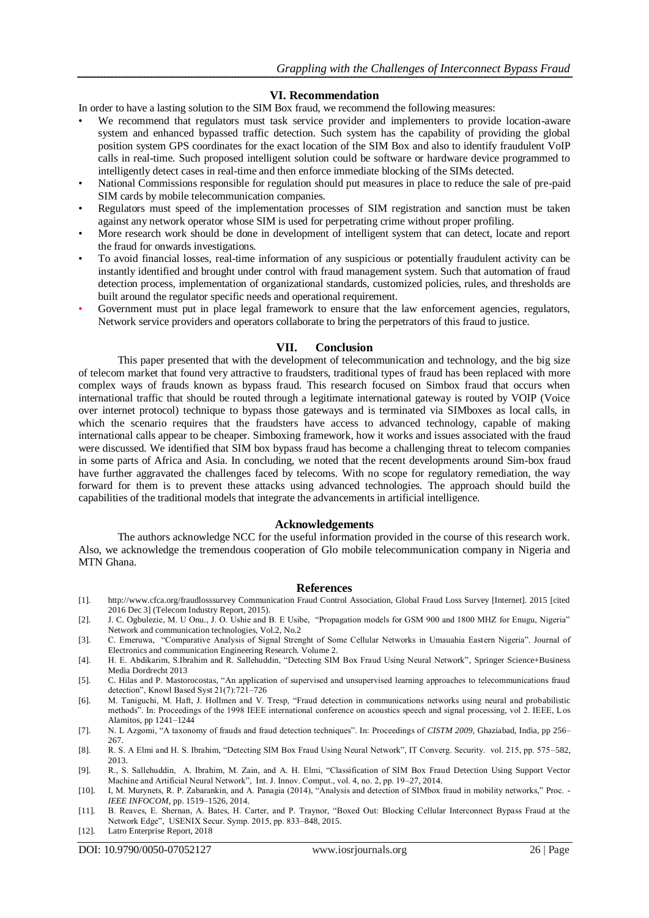#### **VI. Recommendation**

In order to have a lasting solution to the SIM Box fraud, we recommend the following measures:

- We recommend that regulators must task service provider and implementers to provide location-aware system and enhanced bypassed traffic detection. Such system has the capability of providing the global position system GPS coordinates for the exact location of the SIM Box and also to identify fraudulent VoIP calls in real-time. Such proposed intelligent solution could be software or hardware device programmed to intelligently detect cases in real-time and then enforce immediate blocking of the SIMs detected.
- National Commissions responsible for regulation should put measures in place to reduce the sale of pre-paid SIM cards by mobile telecommunication companies.
- Regulators must speed of the implementation processes of SIM registration and sanction must be taken against any network operator whose SIM is used for perpetrating crime without proper profiling.
- More research work should be done in development of intelligent system that can detect, locate and report the fraud for onwards investigations.
- To avoid financial losses, real-time information of any suspicious or potentially fraudulent activity can be instantly identified and brought under control with fraud management system. Such that automation of fraud detection process, implementation of organizational standards, customized policies, rules, and thresholds are built around the regulator specific needs and operational requirement.
- Government must put in place legal framework to ensure that the law enforcement agencies, regulators, Network service providers and operators collaborate to bring the perpetrators of this fraud to justice.

#### **VII. Conclusion**

This paper presented that with the development of telecommunication and technology, and the big size of telecom market that found very attractive to fraudsters, traditional types of fraud has been replaced with more complex ways of frauds known as bypass fraud. This research focused on Simbox fraud that occurs when international traffic that should be routed through a legitimate international gateway is routed by VOIP (Voice over internet protocol) technique to bypass those gateways and is terminated via SIMboxes as local calls, in which the scenario requires that the fraudsters have access to advanced technology, capable of making international calls appear to be cheaper. Simboxing framework, how it works and issues associated with the fraud were discussed. We identified that SIM box bypass fraud has become a challenging threat to telecom companies in some parts of Africa and Asia. In concluding, we noted that the recent developments around Sim-box fraud have further aggravated the challenges faced by telecoms. With no scope for regulatory remediation, the way forward for them is to prevent these attacks using advanced technologies. The approach should build the capabilities of the traditional models that integrate the advancements in artificial intelligence.

#### **Acknowledgements**

The authors acknowledge NCC for the useful information provided in the course of this research work. Also, we acknowledge the tremendous cooperation of Glo mobile telecommunication company in Nigeria and MTN Ghana.

#### **References**

- [1]. http://www.cfca.org/fraudlosssurvey Communication Fraud Control Association, Global Fraud Loss Survey [Internet]. 2015 [cited 2016 Dec 3] (Telecom Industry Report, 2015).
- [2]. J. C. Ogbulezie, M. U Onu., J. O. Ushie and B. E Usibe, "Propagation models for GSM 900 and 1800 MHZ for Enugu, Nigeria" Network and communication technologies, Vol.2, No.2
- [3]. C. Emeruwa, "Comparative Analysis of Signal Strenght of Some Cellular Networks in Umauahia Eastern Nigeria". Journal of Electronics and communication Engineering Research. Volume 2.
- [4]. H. E. Abdikarim, S.Ibrahim and R. Sallehuddin, "Detecting SIM Box Fraud Using Neural Network"*,* Springer Science+Business Media Dordrecht 2013
- [5]. C. Hilas and P. Mastorocostas, "An application of supervised and unsupervised learning approaches to telecommunications fraud detection", Knowl Based Syst 21(7):721–726
- [6]. M. Taniguchi, M. Haft, J. Hollmen and V. Tresp, "Fraud detection in communications networks using neural and probabilistic methods". In: Proceedings of the 1998 IEEE international conference on acoustics speech and signal processing, vol 2. IEEE, Los Alamitos, pp 1241–1244
- [7]. N. L Azgomi, "A taxonomy of frauds and fraud detection techniques". In: Proceedings of *CISTM 2009*, Ghaziabad, India, pp 256– 267.
- [8]. R. S. A Elmi and H. S. Ibrahim, "Detecting SIM Box Fraud Using Neural Network", IT Converg. Security. vol. 215, pp. 575–582, 2013.
- [9]. R., S. Sallehuddin, A. Ibrahim, M. Zain, and A. H. Elmi, "Classification of SIM Box Fraud Detection Using Support Vector Machine and Artificial Neural Network", Int. J. Innov. Comput., vol. 4, no. 2, pp. 19–27, 2014.
- [10]. I, M. Murynets, R. P. Zabarankin, and A. Panagia (2014), "Analysis and detection of SIMbox fraud in mobility networks," Proc. *IEEE INFOCOM*, pp. 1519–1526, 2014.
- [11]. B. Reaves, E. Shernan, A. Bates, H. Carter, and P. Traynor, "Boxed Out: Blocking Cellular Interconnect Bypass Fraud at the Network Edge", USENIX Secur. Symp. 2015, pp. 833–848, 2015.
- [12]. Latro Enterprise Report, 2018